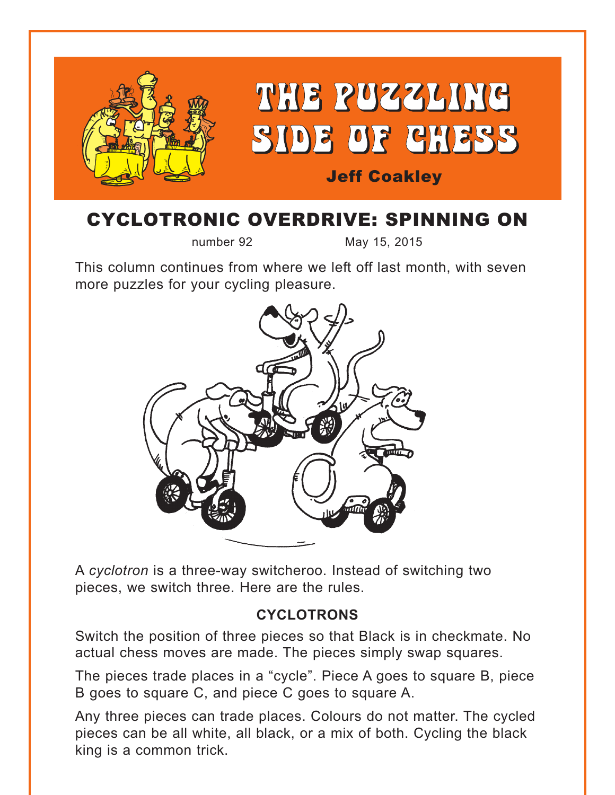

## CYCLOTRONIC OVERDRIVE: SPINNING ON

number 92 May 15, 2015

This column continues from where we left off last month, with seven more puzzles for your cycling pleasure.



A *cyclotron* is a three-way switcheroo. Instead of switching two pieces, we switch three. Here are the rules.

#### **CYCLOTRONS**

Switch the position of three pieces so that Black is in checkmate. No actual chess moves are made. The pieces simply swap squares.

The pieces trade places in a "cycle". Piece A goes to square B, piece B goes to square C, and piece C goes to square A.

Any three pieces can trade places. Colours do not matter. The cycled pieces can be all white, all black, or a mix of both. Cycling the black king is a common trick.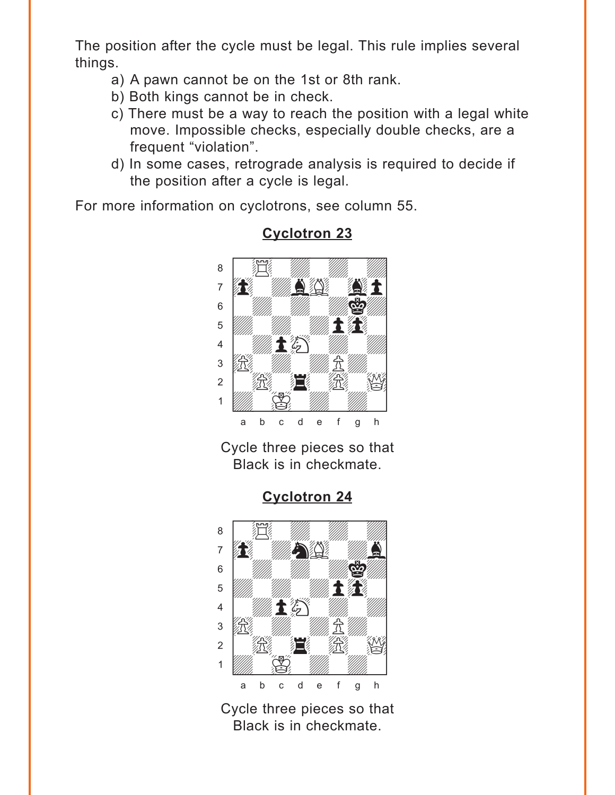<span id="page-1-0"></span>The position after the cycle must be legal. This rule implies several things.

- a) A pawn cannot be on the 1st or 8th rank.
- b) Both kings cannot be in check.
- c) There must be a way to reach the position with a legal white move. Impossible checks, especially double checks, are a frequent "violation".
- d) In some cases, retrograde analysis is required to decide if the position after a cycle is legal.

For more information on cyclotrons, see column 55.



## **Cyclotron 23**

Cycle three pieces so that Black is in checkmate.

#### **Cyclotron 24**



Cycle three pieces so that Black is in checkmate.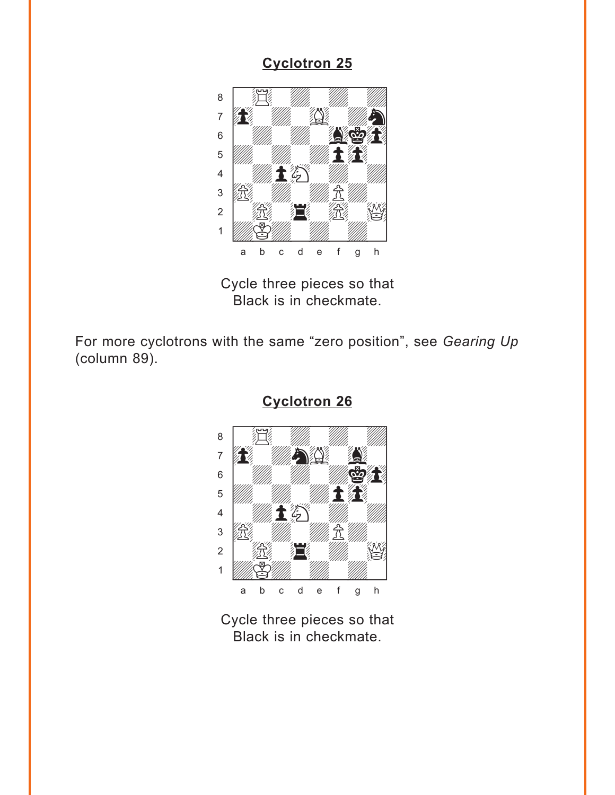<span id="page-2-0"></span>

Cycle three pieces so that Black is in checkmate.

For more cyclotrons with the same "zero position", see *Gearing Up* (column 89).



**[Cyclotron 26](#page-6-0)**

Cycle three pieces so that Black is in checkmate.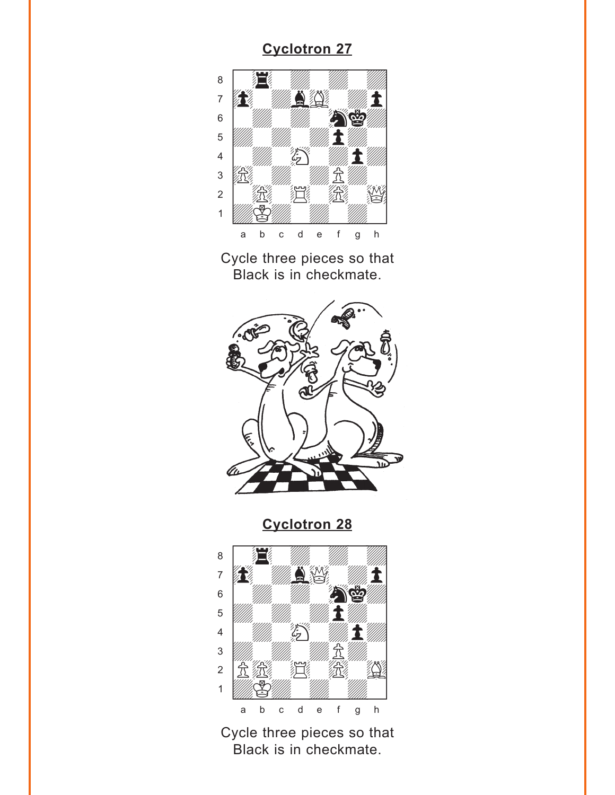<span id="page-3-0"></span>

Cycle three pieces so that Black is in checkmate.



**[Cyclotron 28](#page-6-0)**



Cycle three pieces so that Black is in checkmate.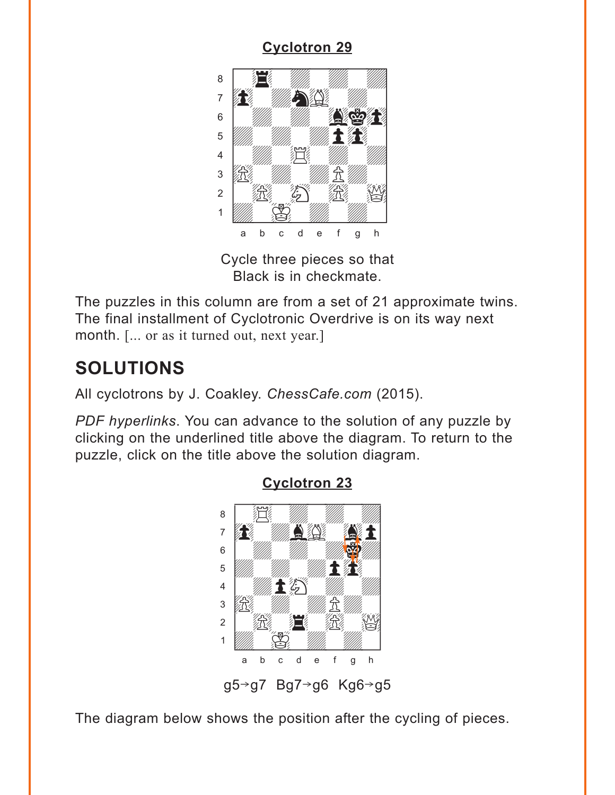<span id="page-4-0"></span>

Cycle three pieces so that Black is in checkmate.

The puzzles in this column are from a set of 21 approximate twins. The final installment of Cyclotronic Overdrive is on its way next month. [... or as it turned out, next year.]

# **SOLUTIONS**

All cyclotrons by J. Coakley. *ChessCafe.com* (2015).

*PDF hyperlinks*. You can advance to the solution of any puzzle by clicking on the underlined title above the diagram. To return to the puzzle, click on the title above the solution diagram.



#### **[Cyclotron 23](#page-1-0)**

The diagram below shows the position after the cycling of pieces.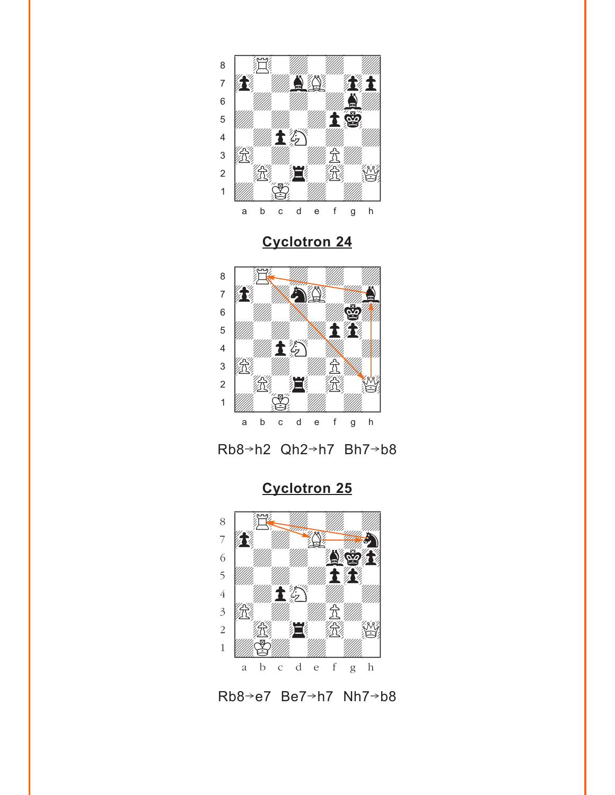<span id="page-5-0"></span>

**[Cyclotron 24](#page-1-0)**



Rb8→h2 Qh2→h7 Bh7→b8



Rb8 $\rightarrow$ e7 Be7 $\rightarrow$ h7 Nh7 $\rightarrow$ b8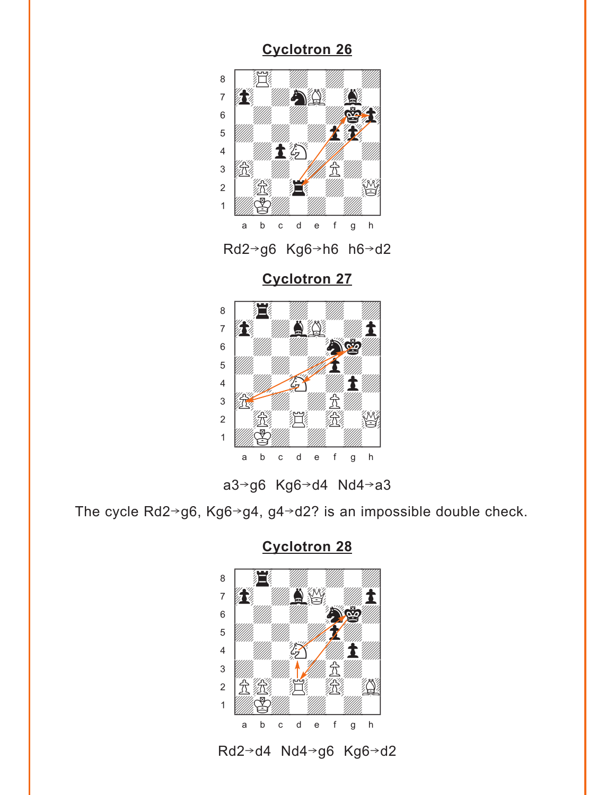<span id="page-6-0"></span>



**[Cyclotron 27](#page-3-0)**





The cycle Rd2 $\rightarrow$ g6, Kg6 $\rightarrow$ g4, g4 $\rightarrow$ d2? is an impossible double check.



**[Cyclotron 28](#page-3-0)**

Rd2→d4 Nd4→g6 Kg6→d2